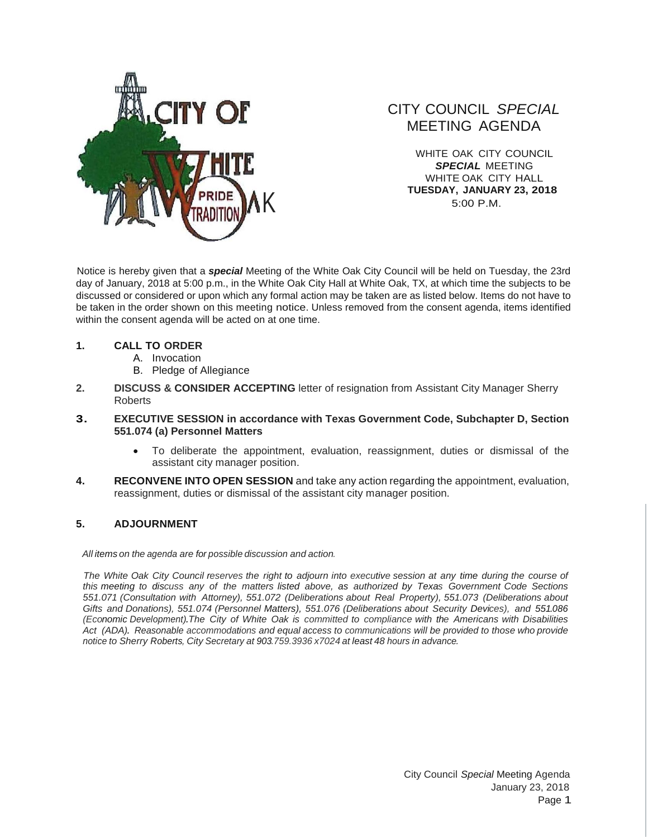

## CITY COUNCIL *SPECIAL* MEETING AGENDA

WHITE OAK CITY COUNCIL *SPECIAL* MEETING WHITE OAK CITY HALL **TUESDAY, JANUARY 23, 2018** 5:00 P.M.

Notice is hereby given that a *special* Meeting of the White Oak City Council will be held on Tuesday, the 23rd day of January, 2018 at 5:00 p.m., in the White Oak City Hall at White Oak, TX, at which time the subjects to be discussed or considered or upon which any formal action may be taken are as listed below. Items do not have to be taken in the order shown on this meeting notice. Unless removed from the consent agenda, items identified within the consent agenda will be acted on at one time.

## **1. CALL TO ORDER**

- A. Invocation
- B. Pledge of Allegiance
- **2. DISCUSS & CONSIDER ACCEPTING** letter of resignation from Assistant City Manager Sherry Roberts

## **3. EXECUTIVE SESSION in accordance with Texas Government Code, Subchapter D, Section 551.074 (a) Personnel Matters**

- To deliberate the appointment, evaluation, reassignment, duties or dismissal of the assistant city manager position.
- **4. RECONVENE INTO OPEN SESSION** and take any action regarding the appointment, evaluation, reassignment, duties or dismissal of the assistant city manager position.

## **5. ADJOURNMENT**

*All items on the agenda are for possible discussion and action.*

The White Oak City Council reserves the right to adjourn into executive session at any time during the course of *this meeting to discuss any of the matters listed above, as authorized by Texas Government Code Sections 551.071 (Consultation with Attorney), 551.072 (Deliberations about Real Property), 551.073 (Deliberations about Gifts and Donations), 551.074 (Personnel Matters), 551.076 (Deliberations about Security Devices), and 551.086 (Economic Development).The City of White Oak is committed to compliance with the Americans with Disabilities Act (ADA). Reasonable accommodations and equal access to communications will be provided to those who provide notice to Sherry Roberts, City Secretary at 903.759.3936 x7024 at least 48 hours in advance.*